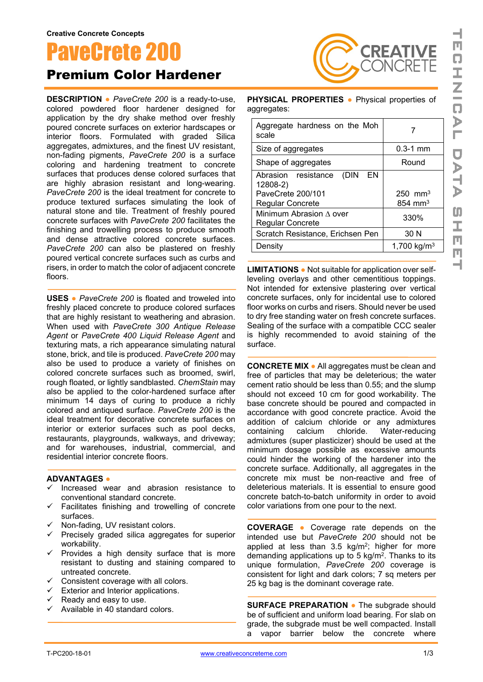## PaveCrete 200

Premium Color Hardener

**DESCRIPTION ●** *PaveCrete 200* is a ready-to-use, colored powdered floor hardener designed for application by the dry shake method over freshly poured concrete surfaces on exterior hardscapes or interior floors. Formulated with graded Silica aggregates, admixtures, and the finest UV resistant, non-fading pigments, *PaveCrete 200* is a surface coloring and hardening treatment to concrete surfaces that produces dense colored surfaces that are highly abrasion resistant and long-wearing. *PaveCrete 200* is the ideal treatment for concrete to produce textured surfaces simulating the look of natural stone and tile. Treatment of freshly poured concrete surfaces with *PaveCrete 200* facilitates the finishing and trowelling process to produce smooth and dense attractive colored concrete surfaces. *PaveCrete 200* can also be plastered on freshly poured vertical concrete surfaces such as curbs and risers, in order to match the color of adjacent concrete floors.

**USES ●** *PaveCrete 200* is floated and troweled into freshly placed concrete to produce colored surfaces that are highly resistant to weathering and abrasion. When used with *PaveCrete 300 Antique Release Agent* or *PaveCrete 400 Liquid Release Agent* and texturing mats, a rich appearance simulating natural stone, brick, and tile is produced. *PaveCrete 200* may also be used to produce a variety of finishes on colored concrete surfaces such as broomed, swirl, rough floated, or lightly sandblasted. *ChemStain* may also be applied to the color-hardened surface after minimum 14 days of curing to produce a richly colored and antiqued surface. *PaveCrete 200* is the ideal treatment for decorative concrete surfaces on interior or exterior surfaces such as pool decks, restaurants, playgrounds, walkways, and driveway; and for warehouses, industrial, commercial, and residential interior concrete floors.

## **ADVANTAGES ●**

- Increased wear and abrasion resistance to conventional standard concrete.
- $\checkmark$  Facilitates finishing and trowelling of concrete surfaces.
- $\checkmark$  Non-fading, UV resistant colors.
- $\checkmark$  Precisely graded silica aggregates for superior workability.
- $\checkmark$  Provides a high density surface that is more resistant to dusting and staining compared to untreated concrete.
- $\checkmark$  Consistent coverage with all colors.
- $\checkmark$  Exterior and Interior applications.
- $\overline{X}$  Ready and easy to use.
- $\overline{\phantom{a}}$  Available in 40 standard colors.

**PHYSICAL PROPERTIES ●** Physical properties of aggregates:

**REATIVE** 

| Aggregate hardness on the Moh<br>scale        |                         |
|-----------------------------------------------|-------------------------|
| Size of aggregates                            | $0.3 - 1$ mm            |
| Shape of aggregates                           | Round                   |
| (DIN<br>EN<br>Abrasion resistance<br>12808-2) |                         |
| PaveCrete 200/101                             | $250 \, \text{mm}^3$    |
| <b>Regular Concrete</b>                       | $854 \text{ mm}^3$      |
| Minimum Abrasion A over<br>Regular Concrete   | 330%                    |
| Scratch Resistance, Erichsen Pen              | 30 N                    |
| Density                                       | 1,700 kg/m <sup>3</sup> |
|                                               |                         |

**LIMITATIONS ●** Not suitable for application over selfleveling overlays and other cementitious toppings. Not intended for extensive plastering over vertical concrete surfaces, only for incidental use to colored floor works on curbs and risers. Should never be used to dry free standing water on fresh concrete surfaces. Sealing of the surface with a compatible CCC sealer is highly recommended to avoid staining of the surface.

**CONCRETE MIX ●** All aggregates must be clean and free of particles that may be deleterious; the water cement ratio should be less than 0.55; and the slump should not exceed 10 cm for good workability. The base concrete should be poured and compacted in accordance with good concrete practice. Avoid the addition of calcium chloride or any admixtures containing calcium chloride. Water-reducing admixtures (super plasticizer) should be used at the minimum dosage possible as excessive amounts could hinder the working of the hardener into the concrete surface. Additionally, all aggregates in the concrete mix must be non-reactive and free of deleterious materials. It is essential to ensure good concrete batch-to-batch uniformity in order to avoid color variations from one pour to the next.

**COVERAGE ●** Coverage rate depends on the intended use but *PaveCrete 200* should not be applied at less than 3.5 kg/m2; higher for more demanding applications up to 5 kg/m<sup>2</sup>. Thanks to its unique formulation, *PaveCrete 200* coverage is consistent for light and dark colors; 7 sq meters per 25 kg bag is the dominant coverage rate.

**SURFACE PREPARATION ●** The subgrade should be of sufficient and uniform load bearing. For slab on grade, the subgrade must be well compacted. Install a vapor barrier below the concrete where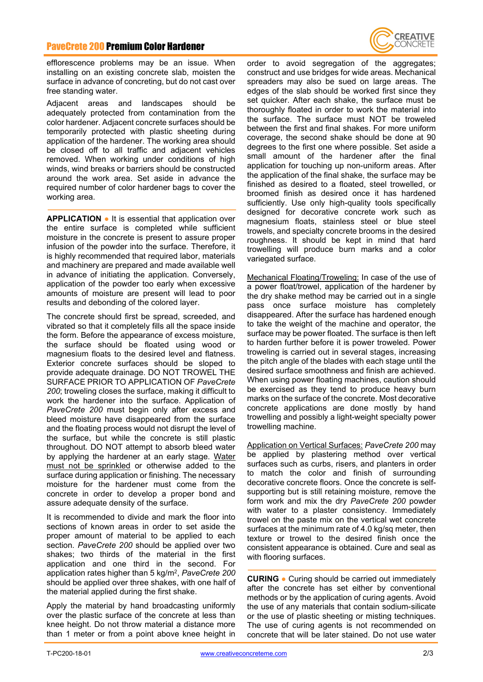## PaveCrete 200 Premium Color Hardener



efflorescence problems may be an issue. When installing on an existing concrete slab, moisten the surface in advance of concreting, but do not cast over free standing water.

Adjacent areas and landscapes should be adequately protected from contamination from the color hardener. Adjacent concrete surfaces should be temporarily protected with plastic sheeting during application of the hardener. The working area should be closed off to all traffic and adjacent vehicles removed. When working under conditions of high winds, wind breaks or barriers should be constructed around the work area. Set aside in advance the required number of color hardener bags to cover the working area.

**APPLICATION ●** It is essential that application over the entire surface is completed while sufficient moisture in the concrete is present to assure proper infusion of the powder into the surface. Therefore, it is highly recommended that required labor, materials and machinery are prepared and made available well in advance of initiating the application. Conversely, application of the powder too early when excessive amounts of moisture are present will lead to poor results and debonding of the colored layer.

The concrete should first be spread, screeded, and vibrated so that it completely fills all the space inside the form. Before the appearance of excess moisture, the surface should be floated using wood or magnesium floats to the desired level and flatness. Exterior concrete surfaces should be sloped to provide adequate drainage. DO NOT TROWEL THE SURFACE PRIOR TO APPLICATION OF *PaveCrete 200*; troweling closes the surface, making it difficult to work the hardener into the surface. Application of *PaveCrete 200* must begin only after excess and bleed moisture have disappeared from the surface and the floating process would not disrupt the level of the surface, but while the concrete is still plastic throughout. DO NOT attempt to absorb bleed water by applying the hardener at an early stage. Water must not be sprinkled or otherwise added to the surface during application or finishing. The necessary moisture for the hardener must come from the concrete in order to develop a proper bond and assure adequate density of the surface.

It is recommended to divide and mark the floor into sections of known areas in order to set aside the proper amount of material to be applied to each section. *PaveCrete 200* should be applied over two shakes; two thirds of the material in the first application and one third in the second. For application rates higher than 5 kg/m2, *PaveCrete 200* should be applied over three shakes, with one half of the material applied during the first shake.

Apply the material by hand broadcasting uniformly over the plastic surface of the concrete at less than knee height. Do not throw material a distance more than 1 meter or from a point above knee height in

order to avoid segregation of the aggregates; construct and use bridges for wide areas. Mechanical spreaders may also be sued on large areas. The edges of the slab should be worked first since they set quicker. After each shake, the surface must be thoroughly floated in order to work the material into the surface. The surface must NOT be troweled between the first and final shakes. For more uniform coverage, the second shake should be done at 90 degrees to the first one where possible. Set aside a small amount of the hardener after the final application for touching up non-uniform areas. After the application of the final shake, the surface may be finished as desired to a floated, steel trowelled, or broomed finish as desired once it has hardened sufficiently. Use only high-quality tools specifically designed for decorative concrete work such as magnesium floats, stainless steel or blue steel trowels, and specialty concrete brooms in the desired roughness. It should be kept in mind that hard trowelling will produce burn marks and a color variegated surface.

Mechanical Floating/Troweling: In case of the use of a power float/trowel, application of the hardener by the dry shake method may be carried out in a single pass once surface moisture has completely disappeared. After the surface has hardened enough to take the weight of the machine and operator, the surface may be power floated. The surface is then left to harden further before it is power troweled. Power troweling is carried out in several stages, increasing the pitch angle of the blades with each stage until the desired surface smoothness and finish are achieved. When using power floating machines, caution should be exercised as they tend to produce heavy burn marks on the surface of the concrete. Most decorative concrete applications are done mostly by hand trowelling and possibly a light-weight specialty power trowelling machine.

Application on Vertical Surfaces: *PaveCrete 200* may be applied by plastering method over vertical surfaces such as curbs, risers, and planters in order to match the color and finish of surrounding decorative concrete floors. Once the concrete is selfsupporting but is still retaining moisture, remove the form work and mix the dry *PaveCrete 200* powder with water to a plaster consistency. Immediately trowel on the paste mix on the vertical wet concrete surfaces at the minimum rate of 4.0 kg/sq meter, then texture or trowel to the desired finish once the consistent appearance is obtained. Cure and seal as with flooring surfaces.

**CURING ●** Curing should be carried out immediately after the concrete has set either by conventional methods or by the application of curing agents. Avoid the use of any materials that contain sodium-silicate or the use of plastic sheeting or misting techniques. The use of curing agents is not recommended on concrete that will be later stained. Do not use water